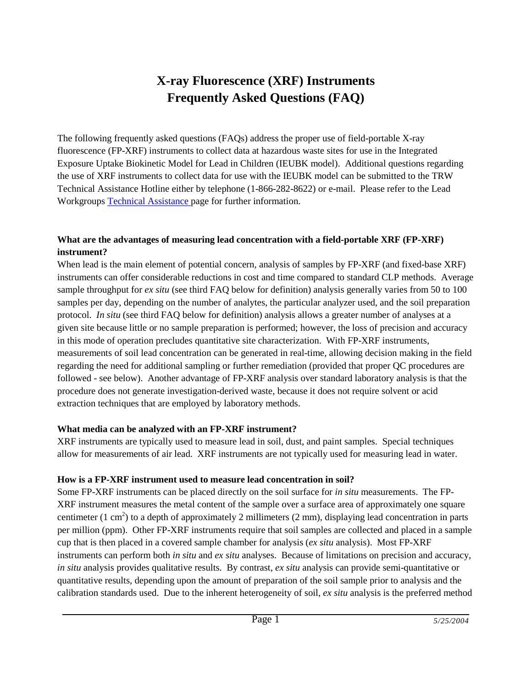# **X-ray Fluorescence (XRF) Instruments Frequently Asked Questions (FAQ)**

The following frequently asked questions (FAQs) address the proper use of field-portable X-ray fluorescence (FP-XRF) instruments to collect data at hazardous waste sites for use in the Integrated Exposure Uptake Biokinetic Model for Lead in Children (IEUBK model). Additional questions regarding the use of XRF instruments to collect data for use with the IEUBK model can be submitted to the TRW Technical Assistance Hotline either by telephone (1-866-282-8622) or e-mail. Please refer to the Lead Workgroup[s Technical Assistance p](http://www.epa.gov/superfund/health/contaminants/lead/tech.htm)age for further information.

# **What are the advantages of measuring lead concentration with a field-portable XRF (FP-XRF) instrument?**

When lead is the main element of potential concern, analysis of samples by FP-XRF (and fixed-base XRF) instruments can offer considerable reductions in cost and time compared to standard CLP methods. Average sample throughput for *ex situ* (see third FAQ below for definition) analysis generally varies from 50 to 100 samples per day, depending on the number of analytes, the particular analyzer used, and the soil preparation protocol. *In situ* (see third FAQ below for definition) analysis allows a greater number of analyses at a given site because little or no sample preparation is performed; however, the loss of precision and accuracy in this mode of operation precludes quantitative site characterization. With FP-XRF instruments, measurements of soil lead concentration can be generated in real-time, allowing decision making in the field regarding the need for additional sampling or further remediation (provided that proper QC procedures are followed - see below). Another advantage of FP-XRF analysis over standard laboratory analysis is that the procedure does not generate investigation-derived waste, because it does not require solvent or acid extraction techniques that are employed by laboratory methods.

#### **What media can be analyzed with an FP-XRF instrument?**

XRF instruments are typically used to measure lead in soil, dust, and paint samples. Special techniques allow for measurements of air lead. XRF instruments are not typically used for measuring lead in water.

## **How is a FP-XRF instrument used to measure lead concentration in soil?**

Some FP-XRF instruments can be placed directly on the soil surface for *in situ* measurements. The FP-XRF instrument measures the metal content of the sample over a surface area of approximately one square centimeter  $(1 \text{ cm}^2)$  to a depth of approximately 2 millimeters  $(2 \text{ mm})$ , displaying lead concentration in parts per million (ppm). Other FP-XRF instruments require that soil samples are collected and placed in a sample cup that is then placed in a covered sample chamber for analysis (*ex situ* analysis). Most FP-XRF instruments can perform both *in situ* and *ex situ* analyses. Because of limitations on precision and accuracy, *in situ* analysis provides qualitative results. By contrast, *ex situ* analysis can provide semi-quantitative or quantitative results, depending upon the amount of preparation of the soil sample prior to analysis and the calibration standards used. Due to the inherent heterogeneity of soil, *ex situ* analysis is the preferred method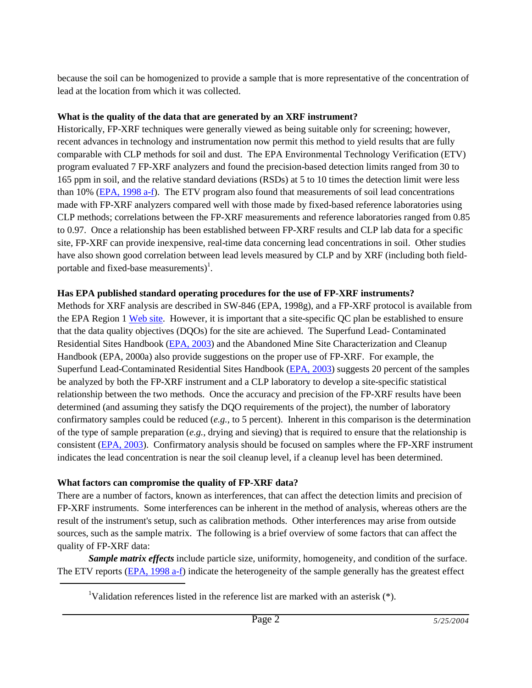because the soil can be homogenized to provide a sample that is more representative of the concentration of lead at the location from which it was collected.

#### **What is the quality of the data that are generated by an XRF instrument?**

Historically, FP-XRF techniques were generally viewed as being suitable only for screening; however, recent advances in technology and instrumentation now permit this method to yield results that are fully comparable with CLP methods for soil and dust. The EPA Environmental Technology Verification (ETV) program evaluated 7 FP-XRF analyzers and found the precision-based detection limits ranged from 30 to 165 ppm in soil, and the relative standard deviations (RSDs) at 5 to 10 times the detection limit were less than 10% [\(EPA, 1998 a-f\)](#page-3-0). The ETV program also found that measurements of soil lead concentrations made with FP-XRF analyzers compared well with those made by fixed-based reference laboratories using CLP methods; correlations between the FP-XRF measurements and reference laboratories ranged from 0.85 to 0.97. Once a relationship has been established between FP-XRF results and CLP lab data for a specific site, FP-XRF can provide inexpensive, real-time data concerning lead concentrations in soil. Other studies have also shown good correlation between lead levels measured by CLP and by XRF (including both fieldportable and fixed-base measurements) $^{1}$ .

# **Has EPA published standard operating procedures for the use of FP-XRF instruments?**

Methods for XRF analysis are described in SW-846 (EPA, 1998g), and a FP-XRF protocol is available from the EPA Region 1 [Web site.](http://www.epa.gov/NE/measure/xray/xrayfluor.html) However, it is important that a site-specific QC plan be established to ensure that the data quality objectives (DQOs) for the site are achieved. The Superfund Lead- Contaminated Residential Sites Handbook [\(EPA, 2003\)](#page-4-0) and the Abandoned Mine Site Characterization and Cleanup Handbook (EPA, 2000a) also provide suggestions on the proper use of FP-XRF. For example, the Superfund Lead-Contaminated Residential Sites Handbook [\(EPA, 2003\)](#page-4-0) suggests 20 percent of the samples be analyzed by both the FP-XRF instrument and a CLP laboratory to develop a site-specific statistical relationship between the two methods. Once the accuracy and precision of the FP-XRF results have been determined (and assuming they satisfy the DQO requirements of the project), the number of laboratory confirmatory samples could be reduced (*e.g.*, to 5 percent). Inherent in this comparison is the determination of the type of sample preparation (*e.g.*, drying and sieving) that is required to ensure that the relationship is consistent [\(EPA, 2003\)](#page-4-0). Confirmatory analysis should be focused on samples where the FP-XRF instrument indicates the lead concentration is near the soil cleanup level, if a cleanup level has been determined.

## **What factors can compromise the quality of FP-XRF data?**

There are a number of factors, known as interferences, that can affect the detection limits and precision of FP-XRF instruments. Some interferences can be inherent in the method of analysis, whereas others are the result of the instrument's setup, such as calibration methods. Other interferences may arise from outside sources, such as the sample matrix. The following is a brief overview of some factors that can affect the quality of FP-XRF data:

*Sample matrix effects* include particle size, uniformity, homogeneity, and condition of the surface. The ETV reports [\(EPA, 1998 a-f\)](#page-3-0) indicate the heterogeneity of the sample generally has the greatest effect

<sup>1</sup>Validation references listed in the reference list are marked with an asterisk (\*).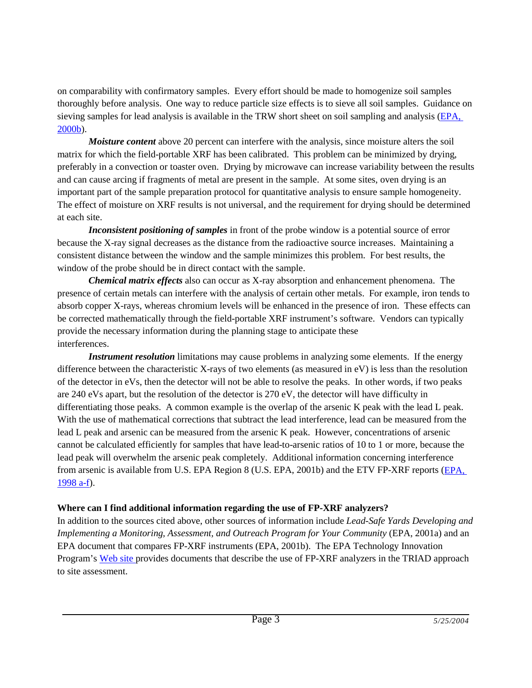on comparability with confirmatory samples. Every effort should be made to homogenize soil samples thoroughly before analysis. One way to reduce particle size effects is to sieve all soil samples. Guidance on sieving samples for lead analysis is available in the TRW short sheet on soil sampling and analysis [\(EPA,](#page-4-0)  [2000b\)](#page-4-0).

*Moisture content* above 20 percent can interfere with the analysis, since moisture alters the soil matrix for which the field-portable XRF has been calibrated. This problem can be minimized by drying, preferably in a convection or toaster oven. Drying by microwave can increase variability between the results and can cause arcing if fragments of metal are present in the sample. At some sites, oven drying is an important part of the sample preparation protocol for quantitative analysis to ensure sample homogeneity. The effect of moisture on XRF results is not universal, and the requirement for drying should be determined at each site.

*Inconsistent positioning of samples* in front of the probe window is a potential source of error because the X-ray signal decreases as the distance from the radioactive source increases. Maintaining a consistent distance between the window and the sample minimizes this problem. For best results, the window of the probe should be in direct contact with the sample.

*Chemical matrix effects* also can occur as X-ray absorption and enhancement phenomena. The presence of certain metals can interfere with the analysis of certain other metals. For example, iron tends to absorb copper X-rays, whereas chromium levels will be enhanced in the presence of iron. These effects can be corrected mathematically through the field-portable XRF instrument's software. Vendors can typically provide the necessary information during the planning stage to anticipate these interferences.

*Instrument resolution* limitations may cause problems in analyzing some elements. If the energy difference between the characteristic X-rays of two elements (as measured in eV) is less than the resolution of the detector in eVs, then the detector will not be able to resolve the peaks. In other words, if two peaks are 240 eVs apart, but the resolution of the detector is 270 eV, the detector will have difficulty in differentiating those peaks. A common example is the overlap of the arsenic K peak with the lead L peak. With the use of mathematical corrections that subtract the lead interference, lead can be measured from the lead L peak and arsenic can be measured from the arsenic K peak. However, concentrations of arsenic cannot be calculated efficiently for samples that have lead-to-arsenic ratios of 10 to 1 or more, because the lead peak will overwhelm the arsenic peak completely. Additional information concerning interference from arsenic is available from U.S. EPA Region 8 (U.S. EPA, 2001b) and the ETV FP-XRF reports [\(EPA,](#page-3-0)  [1998 a-f\)](#page-3-0).

#### **Where can I find additional information regarding the use of FP-XRF analyzers?**

In addition to the sources cited above, other sources of information include *Lead-Safe Yards Developing and Implementing a Monitoring, Assessment, and Outreach Program for Your Community* (EPA, 2001a) and an EPA document that compares FP-XRF instruments (EPA, 2001b). The EPA Technology Innovation Program's [Web site p](http://www.epa.gov/tio/)rovides documents that describe the use of FP-XRF analyzers in the TRIAD approach to site assessment.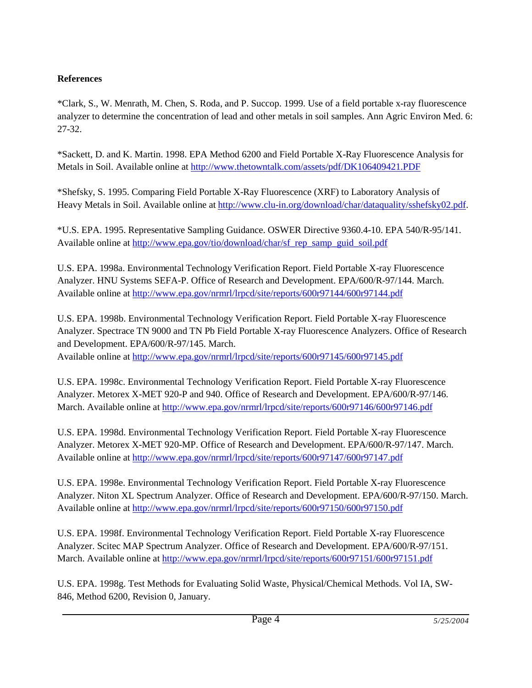# <span id="page-3-0"></span>**References**

\*Clark, S., W. Menrath, M. Chen, S. Roda, and P. Succop. 1999. Use of a field portable x-ray fluorescence analyzer to determine the concentration of lead and other metals in soil samples. Ann Agric Environ Med. 6: 27-32.

\*Sackett, D. and K. Martin. 1998. EPA Method 6200 and Field Portable X-Ray Fluorescence Analysis for Metals in Soil. Available online at<http://www.thetowntalk.com/assets/pdf/DK106409421.PDF>

\*Shefsky, S. 1995. Comparing Field Portable X-Ray Fluorescence (XRF) to Laboratory Analysis of Heavy Metals in Soil. Available online at [http://www.clu-in.org/download/char/dataquality/sshefsky02.pdf.](http://www.clu-in.org/download/char/dataquality/sshefsky02.pdf)

\*U.S. EPA. 1995. Representative Sampling Guidance. OSWER Directive 9360.4-10. EPA 540/R-95/141. Available online at [http://www.epa.gov/tio/download/char/sf\\_rep\\_samp\\_guid\\_soil.pdf](http://www.epa.gov/tio/download/char/sf_rep_samp_guid_soil.pdf)

U.S. EPA. 1998a. Environmental Technology Verification Report. Field Portable X-ray Fluorescence Analyzer. HNU Systems SEFA-P. Office of Research and Development. EPA/600/R-97/144. March. Available online at<http://www.epa.gov/nrmrl/lrpcd/site/reports/600r97144/600r97144.pdf>

U.S. EPA. 1998b. Environmental Technology Verification Report. Field Portable X-ray Fluorescence Analyzer. Spectrace TN 9000 and TN Pb Field Portable X-ray Fluorescence Analyzers. Office of Research and Development. EPA/600/R-97/145. March.

Available online at<http://www.epa.gov/nrmrl/lrpcd/site/reports/600r97145/600r97145.pdf>

U.S. EPA. 1998c. Environmental Technology Verification Report. Field Portable X-ray Fluorescence Analyzer. Metorex X-MET 920-P and 940. Office of Research and Development. EPA/600/R-97/146. March. Available online a[t http://www.epa.gov/nrmrl/lrpcd/site/reports/600r97146/600r97146.pdf](http://www.epa.gov/nrmrl/lrpcd/site/reports/600r97146/600r97146.pdf)

U.S. EPA. 1998d. Environmental Technology Verification Report. Field Portable X-ray Fluorescence Analyzer. Metorex X-MET 920-MP. Office of Research and Development. EPA/600/R-97/147. March. Available online at<http://www.epa.gov/nrmrl/lrpcd/site/reports/600r97147/600r97147.pdf>

U.S. EPA. 1998e. Environmental Technology Verification Report. Field Portable X-ray Fluorescence Analyzer. Niton XL Spectrum Analyzer. Office of Research and Development. EPA/600/R-97/150. March. Available online at<http://www.epa.gov/nrmrl/lrpcd/site/reports/600r97150/600r97150.pdf>

U.S. EPA. 1998f. Environmental Technology Verification Report. Field Portable X-ray Fluorescence Analyzer. Scitec MAP Spectrum Analyzer. Office of Research and Development. EPA/600/R-97/151. March. Available online a[t http://www.epa.gov/nrmrl/lrpcd/site/reports/600r97151/600r97151.pdf](http://www.epa.gov/nrmrl/lrpcd/site/reports/600r97151/600r97151.pdf)

U.S. EPA. 1998g. Test Methods for Evaluating Solid Waste, Physical/Chemical Methods. Vol IA, SW-846, Method 6200, Revision 0, January.